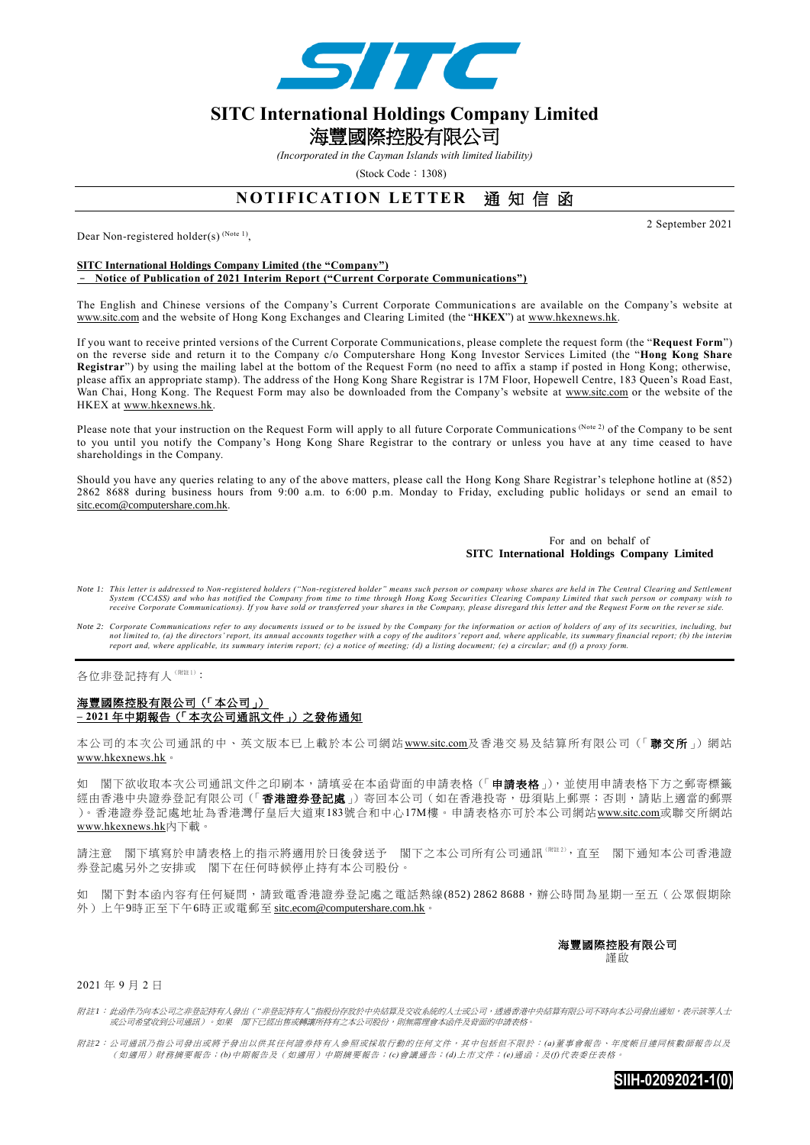

## **SITC International Holdings Company Limited**  海豐國際控股有限公司

*(Incorporated in the Cayman Islands with limited liability)* 

 $(Stock Code : 1308)$ 

## **NOTIFICATION LETTER 通知信函**

Dear Non-registered holder(s)<sup>(Note 1)</sup>,

**SITC International Holdings Company Limited (the "Company")** – **Notice of Publication of 2021 Interim Report ("Current Corporate Communications")**

The English and Chinese versions of the Company's Current Corporate Communication s are available on the Company's website at www.sitc.com and the website of Hong Kong Exchanges and Clearing Limited (the "**HKEX**") at [www.hkexnews.hk.](http://www.hkexnews.hk/)

If you want to receive printed versions of the Current Corporate Communications, please complete the request form (the "**Request Form**") on the reverse side and return it to the Company c/o Computershare Hong Kong Investor Services Limited (the "**Hong Kong Share Registrar**") by using the mailing label at the bottom of the Request Form (no need to affix a stamp if posted in Hong Kong; otherwise, please affix an appropriate stamp). The address of the Hong Kong Share Registrar is 17M Floor, Hopewell Centre, 183 Queen's Road East, Wan Chai, Hong Kong. The Request Form may also be downloaded from the Company's website at www.sitc.com or the website of the HKEX at [www.hkexnews.hk.](http://www.hkexnews.hk/)

Please note that your instruction on the Request Form will apply to all future Corporate Communications (Note 2) of the Company to be sent to you until you notify the Company's Hong Kong Share Registrar to the contrary or unless you have at any time ceased to have shareholdings in the Company.

Should you have any queries relating to any of the above matters, please call the Hong Kong Share Registrar's telephone hotline at (852) 2862 8688 during business hours from 9:00 a.m. to 6:00 p.m. Monday to Friday, excluding public holidays or send an email to [sitc.ecom@computershare.com.hk.](mailto:sitc.ecom@computershare.com.hk)

## For and on behalf of **SITC International Holdings Company Limited**

- *Note 1: This letter is addressed to Non-registered holders ("Non-registered holder" means such person or company whose shares are held in The Central Clearing and Settlement*  System (CCASS) and who has notified the Company from time to time through Hong Kong Securities Clearing Company Limited that such person or company wish to<br>receive Corporate Communications). If you have sold or transferred
- *Note 2: Corporate Communications refer to any documents issued or to be issued by the Company for the information or action of holders of any of its securities, including, but*  not limited to, (a) the directors' report, its annual accounts together with a copy of the auditors' report and, where applicable, its summary financial report; (b) the interim<br>report and, where applicable, its summary int

各位非登記持有人(附註1):

## 海豐國際控股有限公司(「本公司」) **– 2021** 年中期報告(「本次公司通訊文件」)之發佈通知

本公司的本次公司通訊的中、英文版本已上載於本公司網站 www.sitc.com及香港交易及結算所有限公司(「聯交所」)網站 [www.hkexnews.hk](http://www.hkexnews.hk/)。

如 閣下欲收取本次公司通訊文件之印刷本,請填妥在本函背面的申請表格(「申請表格」),並使用申請表格下方之郵寄標籤 經由香港中央證券登記有限公司(「香港證券登記處」)寄回本公司(如在香港投寄,毋須貼上郵票;否則,請貼上適當的郵票 )。香港證券登記處地址為香港灣仔皇后大道東183號合和中心17M樓。申請表格亦可於本公司網站www.sitc.com或聯交所網站 [www.hkexnews.hk](http://www.hkexnews.hk/)內下載。

請注意 閣下填寫於申請表格上的指示將適用於日後發送予 閣下之本公司所有公司通訊(附註 <sup>2</sup>),直至 閣下通知本公司香港證 券登記處另外之安排或 閣下在任何時候停止持有本公司股份。

如 閣下對本函內容有任何疑問,請致電香港證券登記處之電話熱線(852) 2862 8688,辦公時間為星期一至五(公眾假期除 外)上午9時正至下午6時正或電郵至 [sitc.ecom@computershare.com.hk](mailto:sitc.ecom@computershare.com.hk)。

> 海豐國際控股有限公司 謹啟

2021 年 9 月 2 日

附註*1*: 此函件乃向本公司之非登記持有人發出(*"*非登記持有人*"*指股份存放於中央結算及交收系統的人士或公司,透過香港中央結算有限公司不時向本公司發出通知,表示該等人士 或公司希望收到公司通訊)。如果 閣下已經出售或轉讓所持有之本公司股份,則無需理會本函件及背面的申請表格。

附註*2*: 公司通訊乃指公司發出或將予發出以供其任何證券持有人參照或採取行動的任何文件,其中包括但不限於: *(a)*董事會報告、年度帳目連同核數師報告以及 (如適用)財務摘要報告;*(b)*中期報告及(如適用)中期摘要報告;*(c)*會議通告;*(d)*上市文件;*(e)*通函;及*(f)*代表委任表格。



2 September 2021